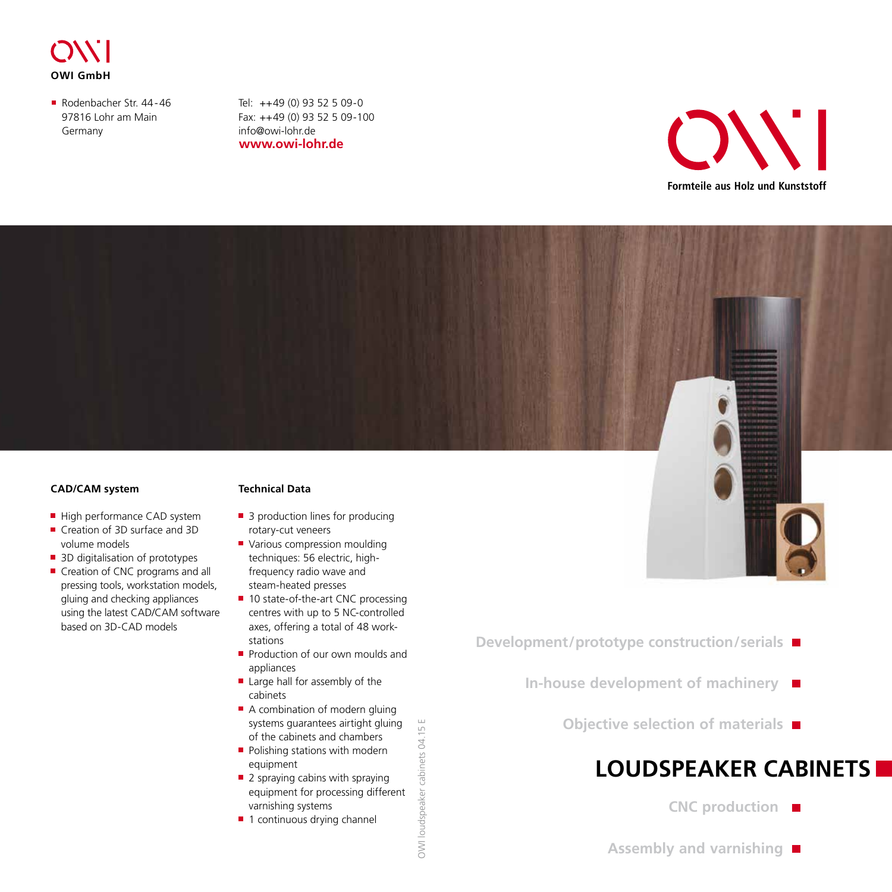

Rodenbacher Str. 44-46 97816 Lohr am Main Germany

**www.owi-lohr.de** Tel: ++49 (0) 93 52 5 09-0 Fax: ++49 (0) 93 52 5 09-100 info@owi-lohr.de





#### **CAD/CAM system**

- High performance CAD system
- Creation of 3D surface and 3D volume models
- 3D digitalisation of prototypes
- Creation of CNC programs and all pressing tools, workstation models, gluing and checking appliances using the latest CAD/CAM software based on 3D-CAD models

#### **Technical Data**

- 3 production lines for producing rotary-cut veneers
- **Various compression moulding** techniques: 56 electric, highfrequency radio wave and steam-heated presses
- 10 state-of-the-art CNC processing centres with up to 5 NC-controlled axes, offering a total of 48 workstations
- Production of our own moulds and appliances
- $\blacksquare$  Large hall for assembly of the cabinets
- A combination of modern gluing systems guarantees airtight gluing of the cabinets and chambers
- $\blacksquare$  Polishing stations with modern equipment
- $\blacksquare$  2 spraying cabins with spraying equipment for processing different varnishing systems
- $\blacksquare$  1 continuous drying channel
- **Development/prototype construction/serials** 
	- **In-house development of machinery** 
		- **Objective selection of materials**

## **LOUDSPEAKER CABINETS**

- **CNC production**
- **Assembly and varnishing**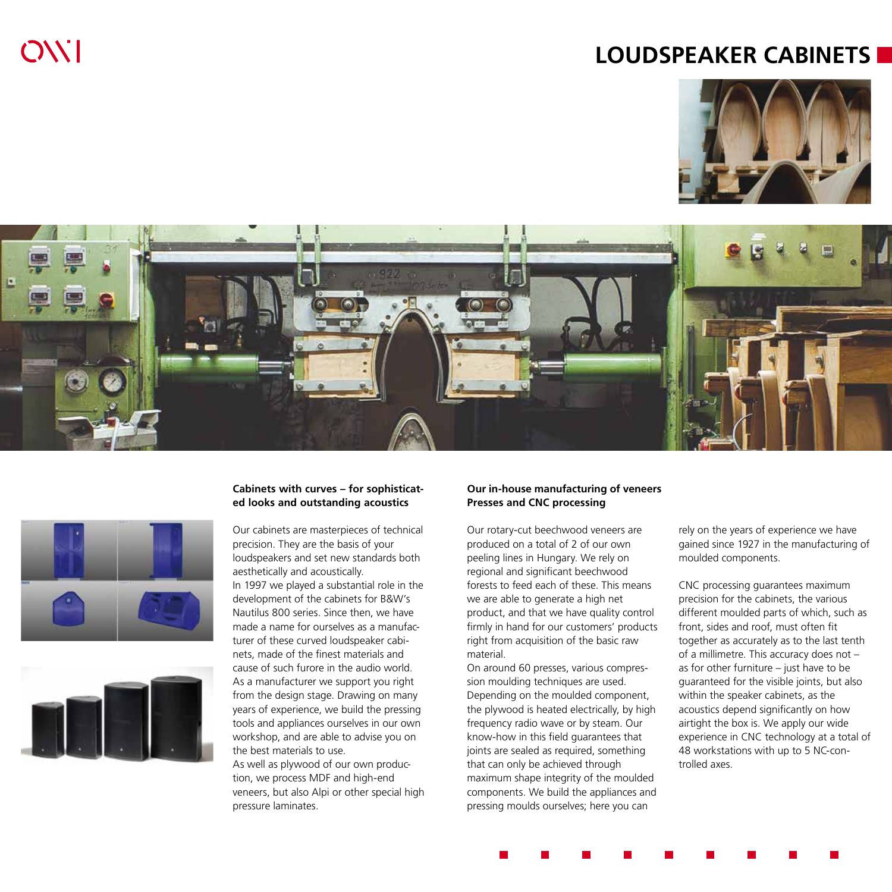### **LOUDSPEAKER CABINETS**







 $OVI$ 



#### **Cabinets with curves – for sophisticated looks and outstanding acoustics**

Our cabinets are masterpieces of technical precision. They are the basis of your loudspeakers and set new standards both aesthetically and acoustically.

In 1997 we played a substantial role in the development of the cabinets for B&W's Nautilus 800 series. Since then, we have made a name for ourselves as a manufacturer of these curved loudspeaker cabinets, made of the finest materials and cause of such furore in the audio world. As a manufacturer we support you right from the design stage. Drawing on many years of experience, we build the pressing tools and appliances ourselves in our own workshop, and are able to advise you on the best materials to use.

As well as plywood of our own production, we process MDF and high-end veneers, but also Alpi or other special high pressure laminates.

#### **Our in-house manufacturing of veneers Presses and CNC processing**

Our rotary-cut beechwood veneers are produced on a total of 2 of our own peeling lines in Hungary. We rely on regional and significant beechwood forests to feed each of these. This means we are able to generate a high net product, and that we have quality control firmly in hand for our customers' products right from acquisition of the basic raw material.

On around 60 presses, various compression moulding techniques are used. Depending on the moulded component, the plywood is heated electrically, by high frequency radio wave or by steam. Our know-how in this field guarantees that joints are sealed as required, something that can only be achieved through maximum shape integrity of the moulded components. We build the appliances and pressing moulds ourselves; here you can

rely on the years of experience we have gained since 1927 in the manufacturing of moulded components.

CNC processing guarantees maximum precision for the cabinets, the various different moulded parts of which, such as front, sides and roof, must often fit together as accurately as to the last tenth of a millimetre. This accuracy does not – as for other furniture  $-$  just have to be guaranteed for the visible joints, but also within the speaker cabinets, as the acoustics depend significantly on how airtight the box is. We apply our wide experience in CNC technology at a total of 48 workstations with up to 5 NC-controlled axes.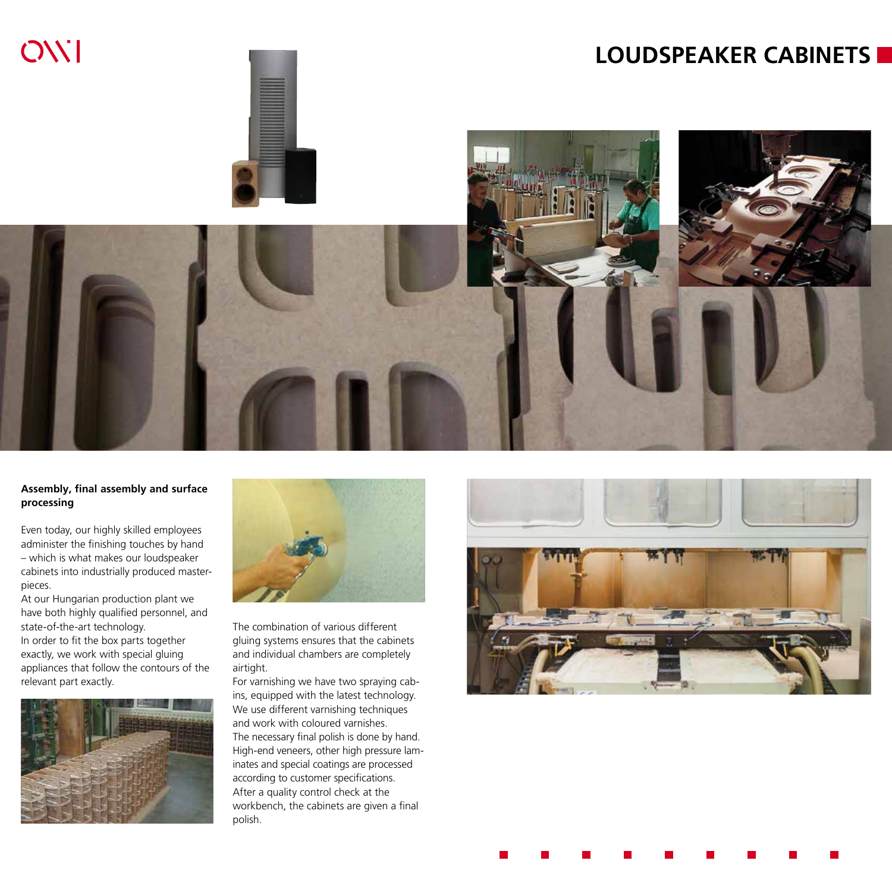

#### **Assembly, final assembly and surface processing**

Even today, our highly skilled employees administer the finishing touches by hand – which is what makes our loudspeaker cabinets into industrially produced masterpieces.

At our Hungarian production plant we have both highly qualified personnel, and state-of-the-art technology. In order to fit the box parts together exactly, we work with special gluing appliances that follow the contours of the relevant part exactly.





The combination of various different gluing systems ensures that the cabinets and individual chambers are completely airtight.

For varnishing we have two spraying cabins, equipped with the latest technology. We use different varnishing techniques and work with coloured varnishes. The necessary final polish is done by hand. High-end veneers, other high pressure laminates and special coatings are processed according to customer specifications. After a quality control check at the workbench, the cabinets are given a final polish.